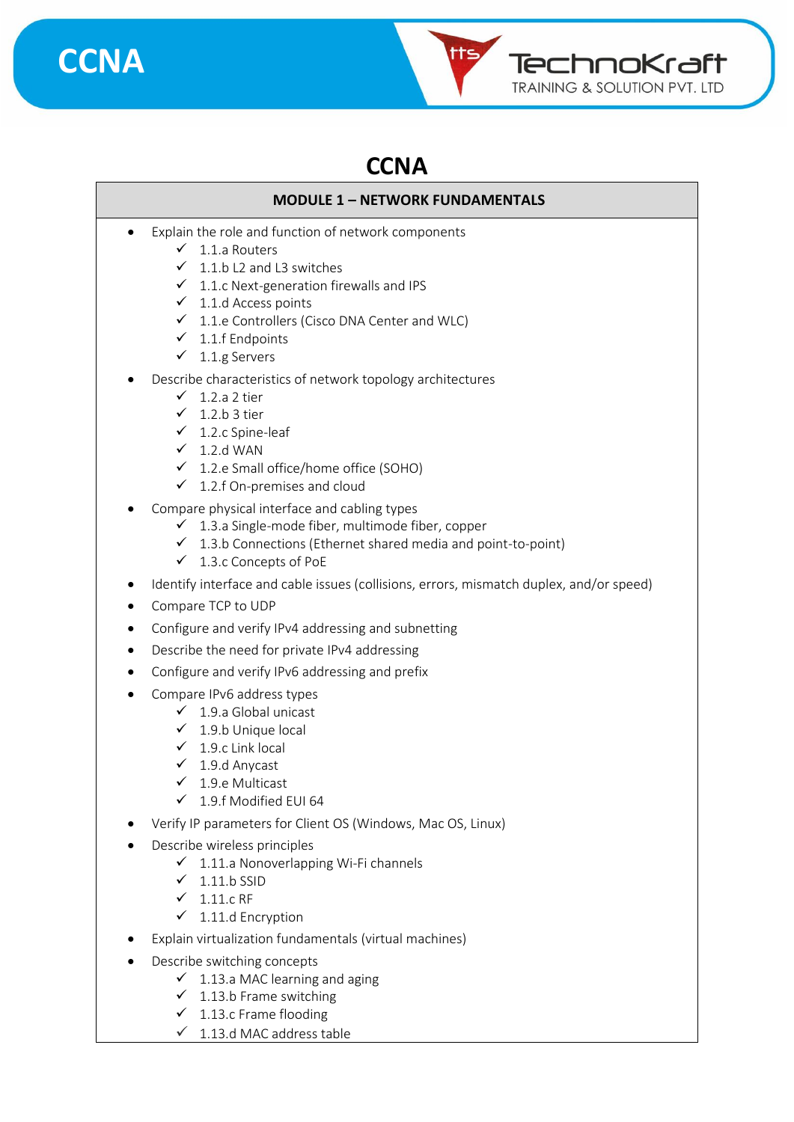



### **CCNA**

#### **MODULE 1 – NETWORK FUNDAMENTALS**

- Explain the role and function of network components
	- $\checkmark$  1.1.a Routers
	- $\checkmark$  1.1.b L2 and L3 switches
	- $\checkmark$  1.1.c Next-generation firewalls and IPS
	- $\checkmark$  1.1.d Access points
	- ✓ 1.1.e Controllers (Cisco DNA Center and WLC)
	- $\checkmark$  1.1.f Endpoints
	- $\checkmark$  1.1.g Servers
- Describe characteristics of network topology architectures
	- $\checkmark$  1.2.a 2 tier
	- $\checkmark$  1.2.b 3 tier
	- $\checkmark$  1.2.c Spine-leaf
	- $\times$  1.2.d WAN
	- ✓ 1.2.e Small office/home office (SOHO)
	- $\checkmark$  1.2.f On-premises and cloud
- Compare physical interface and cabling types
	- $\checkmark$  1.3.a Single-mode fiber, multimode fiber, copper
	- $\checkmark$  1.3.b Connections (Ethernet shared media and point-to-point)
	- ✓ 1.3.c Concepts of PoE
- Identify interface and cable issues (collisions, errors, mismatch duplex, and/or speed)
- Compare TCP to UDP
- Configure and verify IPv4 addressing and subnetting
- Describe the need for private IPv4 addressing
- Configure and verify IPv6 addressing and prefix
- Compare IPv6 address types
	- $\checkmark$  1.9.a Global unicast
	- $\checkmark$  1.9.b Unique local
	- $\checkmark$  1.9.c Link local
	- $\checkmark$  1.9.d Anycast
	- $\checkmark$  1.9.e Multicast
	- ✓ 1.9.f Modified EUI 64
- Verify IP parameters for Client OS (Windows, Mac OS, Linux)
	- Describe wireless principles
		- $\checkmark$  1.11.a Nonoverlapping Wi-Fi channels
		- $\checkmark$  1.11.b SSID
		- $\checkmark$  1.11.c RF
		- $\checkmark$  1.11.d Encryption
- Explain virtualization fundamentals (virtual machines)
- Describe switching concepts
	- $\checkmark$  1.13.a MAC learning and aging
	- $\checkmark$  1.13.b Frame switching
	- $\checkmark$  1.13.c Frame flooding
	- $\checkmark$  1.13.d MAC address table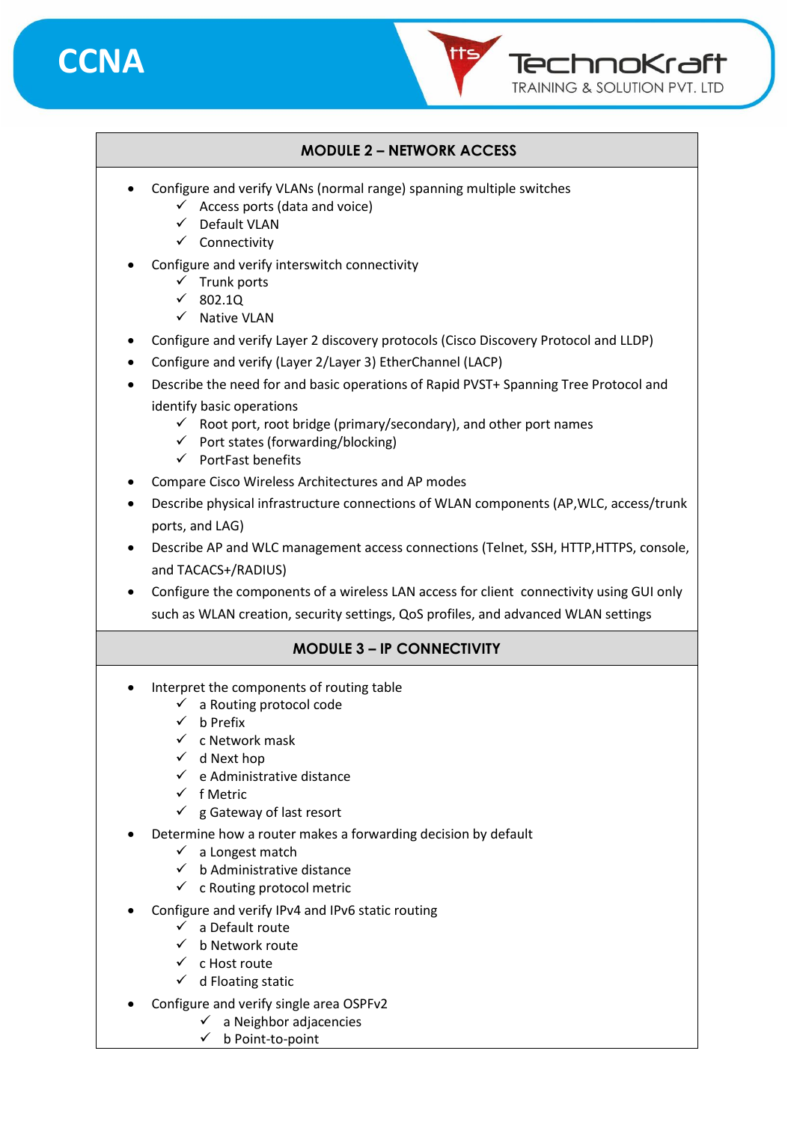



#### **MODULE 2 – NETWORK ACCESS**

- Configure and verify VLANs (normal range) spanning multiple switches
	- $\checkmark$  Access ports (data and voice)
	- ✓ Default VLAN
	- ✓ Connectivity
- Configure and verify interswitch connectivity
	- $\checkmark$  Trunk ports
	- ✓ 802.1Q
	- ✓ Native VLAN
- Configure and verify Layer 2 discovery protocols (Cisco Discovery Protocol and LLDP)
- Configure and verify (Layer 2/Layer 3) EtherChannel (LACP)
- Describe the need for and basic operations of Rapid PVST+ Spanning Tree Protocol and identify basic operations
	- $\checkmark$  Root port, root bridge (primary/secondary), and other port names
	- $\checkmark$  Port states (forwarding/blocking)
	- ✓ PortFast benefits
- Compare Cisco Wireless Architectures and AP modes
- Describe physical infrastructure connections of WLAN components (AP,WLC, access/trunk ports, and LAG)
- Describe AP and WLC management access connections (Telnet, SSH, HTTP,HTTPS, console, and TACACS+/RADIUS)
- Configure the components of a wireless LAN access for client connectivity using GUI only such as WLAN creation, security settings, QoS profiles, and advanced WLAN settings

#### **MODULE 3 – IP CONNECTIVITY**

- Interpret the components of routing table
	- $\checkmark$  a Routing protocol code
	- ✓ b Prefix
	- ✓ c Network mask
	- $\checkmark$  d Next hop
	- $\checkmark$  e Administrative distance
	- ✓ f Metric
	- $\checkmark$  g Gateway of last resort
- Determine how a router makes a forwarding decision by default
	- $\checkmark$  a Longest match
	- $\checkmark$  b Administrative distance
	- $\checkmark$  c Routing protocol metric
- Configure and verify IPv4 and IPv6 static routing
	- $\checkmark$  a Default route
		- $\checkmark$  b Network route
		- ✓ c Host route
		- $\checkmark$  d Floating static
- Configure and verify single area OSPFv2
	- $\checkmark$  a Neighbor adjacencies
		- ✓ b Point-to-point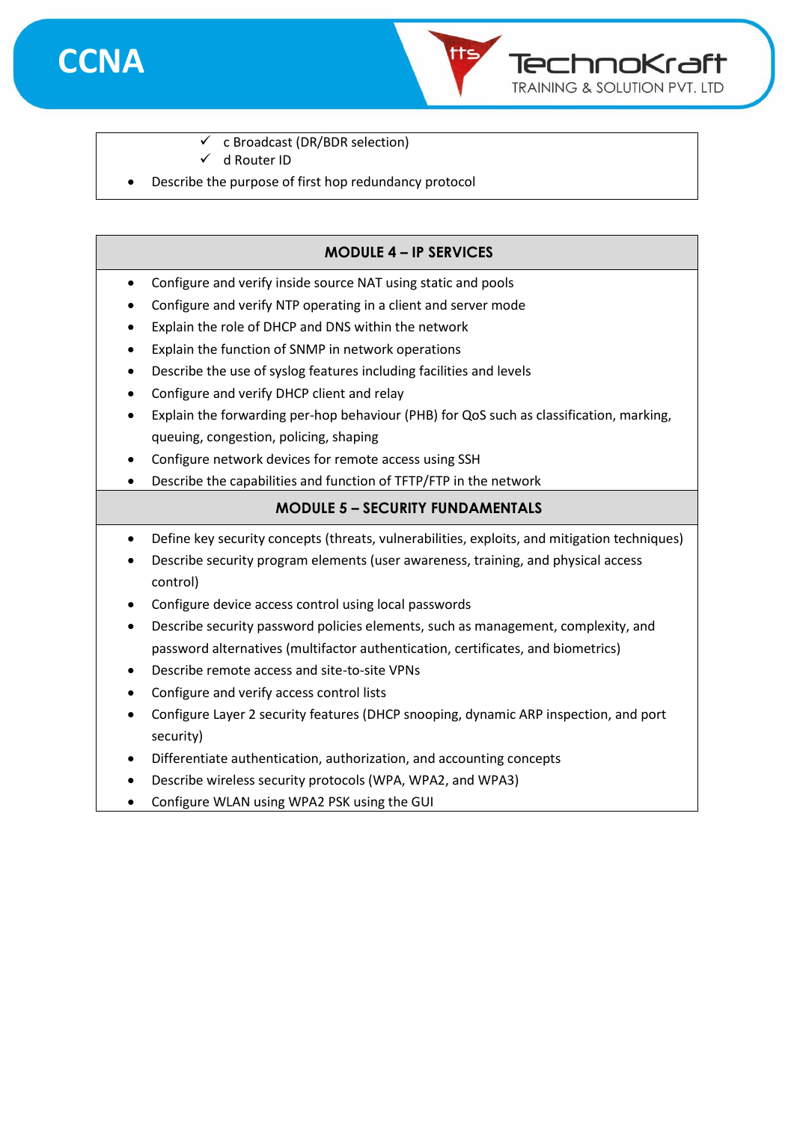



- $\checkmark$  c Broadcast (DR/BDR selection)
- ✓ d Router ID
- Describe the purpose of first hop redundancy protocol

#### **MODULE 4 – IP SERVICES**

- Configure and verify inside source NAT using static and pools
- Configure and verify NTP operating in a client and server mode
- Explain the role of DHCP and DNS within the network
- Explain the function of SNMP in network operations
- Describe the use of syslog features including facilities and levels
- Configure and verify DHCP client and relay
- Explain the forwarding per-hop behaviour (PHB) for QoS such as classification, marking, queuing, congestion, policing, shaping
- Configure network devices for remote access using SSH
- Describe the capabilities and function of TFTP/FTP in the network

#### **MODULE 5 – SECURITY FUNDAMENTALS**

- Define key security concepts (threats, vulnerabilities, exploits, and mitigation techniques)
- Describe security program elements (user awareness, training, and physical access control)
- Configure device access control using local passwords
- Describe security password policies elements, such as management, complexity, and password alternatives (multifactor authentication, certificates, and biometrics)
- Describe remote access and site-to-site VPNs
- Configure and verify access control lists
- Configure Layer 2 security features (DHCP snooping, dynamic ARP inspection, and port security)
- Differentiate authentication, authorization, and accounting concepts
- Describe wireless security protocols (WPA, WPA2, and WPA3)
- Configure WLAN using WPA2 PSK using the GUI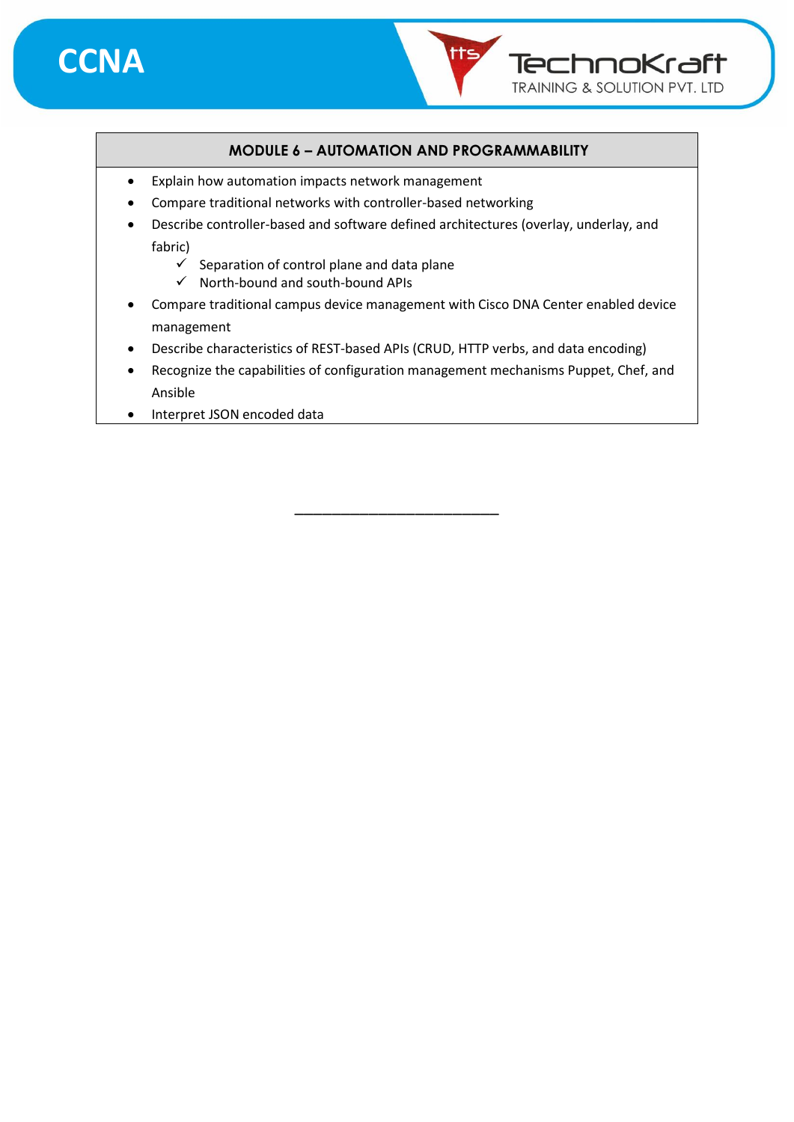

#### **MODULE 6 – AUTOMATION AND PROGRAMMABILITY**

TechnoKraft TRAINING & SOLUTION PVT. LTD

- Explain how automation impacts network management
- Compare traditional networks with controller-based networking
- Describe controller-based and software defined architectures (overlay, underlay, and fabric)
	- $\checkmark$  Separation of control plane and data plane
	- ✓ North-bound and south-bound APIs
- Compare traditional campus device management with Cisco DNA Center enabled device management
- Describe characteristics of REST-based APIs (CRUD, HTTP verbs, and data encoding)
- Recognize the capabilities of configuration management mechanisms Puppet, Chef, and Ansible

\_\_\_\_\_\_\_\_\_\_\_\_\_\_\_\_\_\_\_\_\_\_

• Interpret JSON encoded data